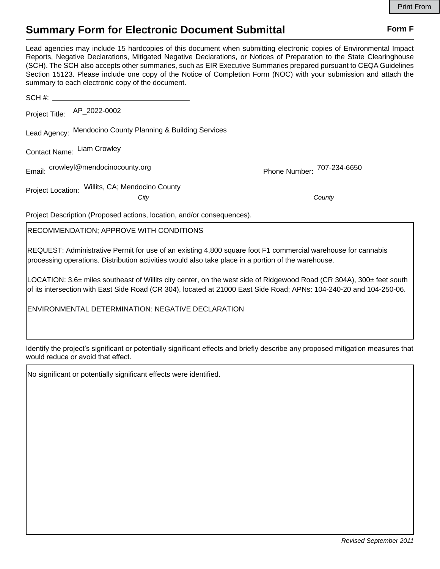## **Summary Form for Electronic Document Submittal Form F Form F**

Lead agencies may include 15 hardcopies of this document when submitting electronic copies of Environmental Impact Reports, Negative Declarations, Mitigated Negative Declarations, or Notices of Preparation to the State Clearinghouse (SCH). The SCH also accepts other summaries, such as EIR Executive Summaries prepared pursuant to CEQA Guidelines Section 15123. Please include one copy of the Notice of Completion Form (NOC) with your submission and attach the summary to each electronic copy of the document.

| Project Title: AP_2022-0002                                            |                            |
|------------------------------------------------------------------------|----------------------------|
| Lead Agency: Mendocino County Planning & Building Services             |                            |
| Contact Name: Liam Crowley                                             |                            |
| Email: crowleyl@mendocinocounty.org                                    | Phone Number: 707-234-6650 |
| Project Location: Willits, CA; Mendocino County                        |                            |
| City                                                                   | County                     |
| Project Description (Proposed actions, location, and/or consequences). |                            |
| <b>RECOMMENDATION; APPROVE WITH CONDITIONS</b>                         |                            |
|                                                                        |                            |

REQUEST: Administrative Permit for use of an existing 4,800 square foot F1 commercial warehouse for cannabis processing operations. Distribution activities would also take place in a portion of the warehouse.

LOCATION: 3.6± miles southeast of Willits city center, on the west side of Ridgewood Road (CR 304A), 300± feet south of its intersection with East Side Road (CR 304), located at 21000 East Side Road; APNs: 104-240-20 and 104-250-06.

ENVIRONMENTAL DETERMINATION: NEGATIVE DECLARATION

Identify the project's significant or potentially significant effects and briefly describe any proposed mitigation measures that would reduce or avoid that effect.

No significant or potentially significant effects were identified.